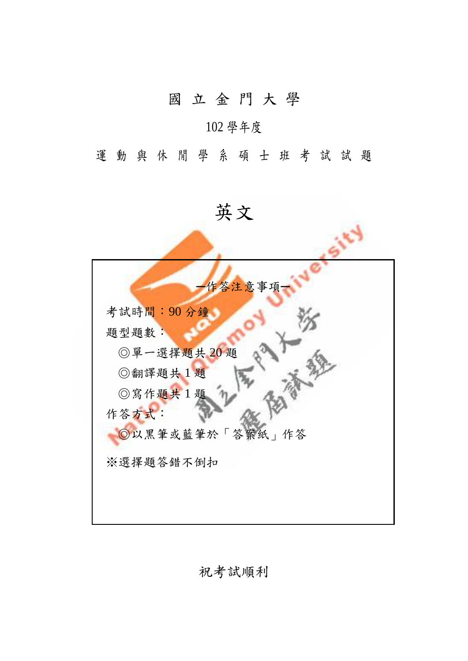## 國 立 金 門 大 學

### 102 學年度

運動與休閒學系碩士班考試試題

英文



祝考試順利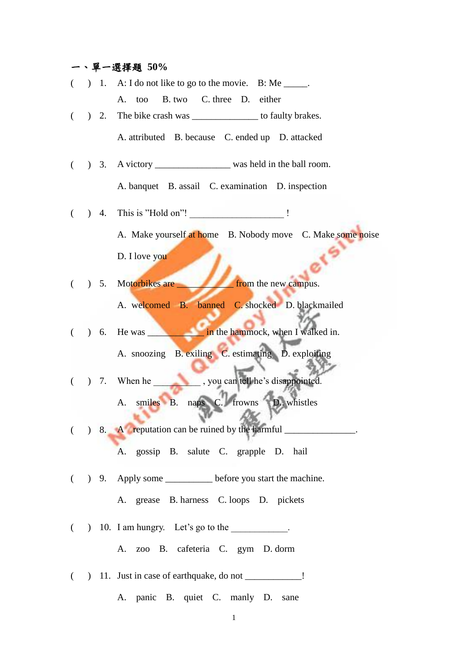# 一、單一選擇題 **50%**

| $\left($                                                        |  | ) 1. A: I do not like to go to the movie. B: Me $\frac{ }{ }$ . |
|-----------------------------------------------------------------|--|-----------------------------------------------------------------|
|                                                                 |  | A. too B. two C. three D. either                                |
| $\left($                                                        |  | ) 2. The bike crash was ____________________ to faulty brakes.  |
|                                                                 |  | A. attributed B. because C. ended up D. attacked                |
|                                                                 |  |                                                                 |
|                                                                 |  | A. banquet B. assail C. examination D. inspection               |
| $\left($                                                        |  | ) 4. This is "Hold on"! ____________________!                   |
|                                                                 |  | A. Make yourself at home B. Nobody move C. Make some noise      |
|                                                                 |  | D. I love you                                                   |
|                                                                 |  | ( ) 5. Motorbikes are <b>from</b> the new campus.               |
|                                                                 |  | A. welcomed B. banned C. shocked D. blackmailed                 |
| $\begin{array}{ccc} \begin{array}{ccc} \end{array} \end{array}$ |  |                                                                 |
|                                                                 |  | A. snoozing B. exiling C. estimating D. exploiting              |
|                                                                 |  | ( ) 7. When he _______________, you can tell he's disappointed. |
|                                                                 |  | A. smiles B. naps C. frowns D. whistles                         |
|                                                                 |  |                                                                 |
|                                                                 |  | ( ) 8. A reputation can be ruined by the harmful ______         |
|                                                                 |  | A. gossip B. salute C. grapple D. hail                          |
|                                                                 |  | ( ) 9. Apply some ____________ before you start the machine.    |
|                                                                 |  | A. grease B. harness C. loops D. pickets                        |
|                                                                 |  | $($ ) 10. I am hungry. Let's go to the __________.              |
|                                                                 |  | A. zoo B. cafeteria C. gym D. dorm                              |
|                                                                 |  | ( ) 11. Just in case of earthquake, do not _____________!       |
|                                                                 |  | A. panic B. quiet C. manly D. sane                              |
|                                                                 |  |                                                                 |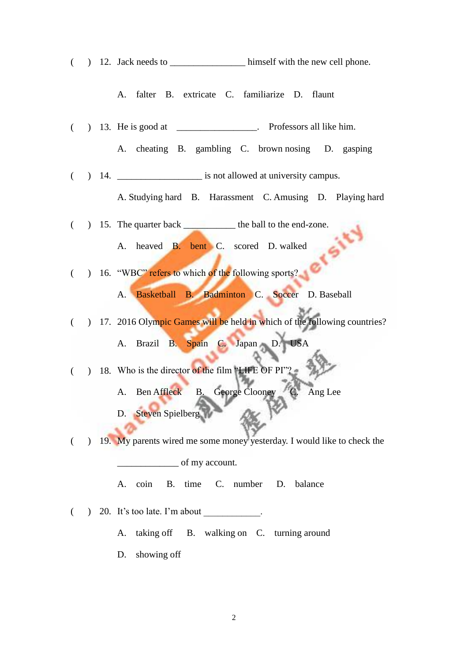( ) 12. Jack needs to \_\_\_\_\_\_\_\_\_\_\_\_\_\_\_\_\_\_\_\_\_\_\_\_ himself with the new cell phone.

A. falter B. extricate C. familiarize D. flaunt

( ) 13. He is good at \_\_\_\_\_\_\_\_\_\_\_\_\_\_\_\_\_. Professors all like him.

A. cheating B. gambling C. brown nosing D. gasping

( ) 14. \_\_\_\_\_\_\_\_\_\_\_\_\_\_\_\_\_\_ is not allowed at university campus.

A. Studying hard B. Harassment C. Amusing D. Playing hard

( ) 15. The quarter back  $\qquad$  the ball to the end-zone.<br>
A. heaved **B. bent** C. scored D walled

A. heaved B. bent C. scored D. walked

( ) 16. "WBC" refers to which of the following sports?

A. Basketball B. Badminton C. Soccer D. Baseball

( ) 17. 2016 Olympic Games will be held in which of the following countries?

A. Brazil B. Spain C. Japan D. USA

( ) 18. Who is the director of the film "LIFE OF PI"?

A. Ben Affleck B. George Clooney C. Ang Lee

D. Steven Spielberg

( ) 19. My parents wired me some money yesterday. I would like to check the \_\_\_\_\_\_\_\_\_\_\_\_\_ of my account.

A. coin B. time C. number D. balance

 $($   $)$  20. It's too late. I'm about

A. taking off B. walking on C. turning around

D. showing off